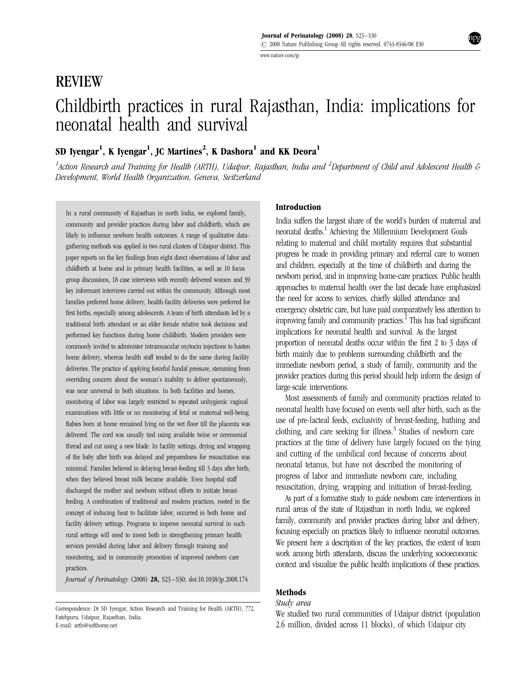[www.nature.com/jp](http://www.nature.com/jp)

# REVIEW Childbirth practices in rural Rajasthan, India: implications for neonatal health and survival

# SD Iyengar<sup>1</sup>, K Iyengar<sup>1</sup>, JC Martines<sup>2</sup>, K Dashora<sup>1</sup> and KK Deora<sup>1</sup>

 $^1$ Action Research and Training for Health (ARTH), Udaipur, Rajasthan, India and  $^2$ Department of Child and Adolescent Health & Development, World Health Organization, Geneva, Switzerland

In a rural community of Rajasthan in north India, we explored family, community and provider practices during labor and childbirth, which are likely to influence newborn health outcomes. A range of qualitative datagathering methods was applied in two rural clusters of Udaipur district. This paper reports on the key findings from eight direct observations of labor and childbirth at home and in primary health facilities, as well as 10 focus group discussions, 18 case interviews with recently delivered women and 39 key informant interviews carried out within the community. Although most families preferred home delivery, health-facility deliveries were preferred for first births, especially among adolescents. A team of birth attendants led by a traditional birth attendant or an elder female relative took decisions and performed key functions during home childbirth. Modern providers were commonly invited to administer intramuscular oxytocin injections to hasten home delivery, whereas health staff tended to do the same during facility deliveries. The practice of applying forceful fundal pressure, stemming from overriding concern about the woman's inability to deliver spontaneously, was near universal in both situations. In both facilities and homes, monitoring of labor was largely restricted to repeated unhygienic vaginal examinations with little or no monitoring of fetal or maternal well-being. Babies born at home remained lying on the wet floor till the placenta was delivered. The cord was usually tied using available twine or ceremonial thread and cut using a new blade. In facility settings, drying and wrapping of the baby after birth was delayed and preparedness for resuscitation was minimal. Families believed in delaying breast-feeding till 3 days after birth, when they believed breast milk became available. Even hospital staff discharged the mother and newborn without efforts to initiate breastfeeding. A combination of traditional and modern practices, rooted in the concept of inducing heat to facilitate labor, occurred in both home and facility delivery settings. Programs to improve neonatal survival in such rural settings will need to invest both in strengthening primary health services provided during labor and delivery through training and monitoring, and in community promotion of improved newborn care practices.

Journal of Perinatology (2008) 28, S23–S30; doi[:10.1038/jp.2008.174](http://dx.doi.org/10.1038/jp.2008.174)

#### Correspondence: Dr SD Iyengar, Action Research and Training for Health (ARTH), 772, Fatehpura, Udaipur, Rajasthan, India. E-mail: [arth@softhome.net](mailto:arth@softhome.net)

#### Introduction

India suffers the largest share of the world's burden of maternal and neonatal deaths.[1](#page-7-0) Achieving the Millennium Development Goals relating to maternal and child mortality requires that substantial progress be made in providing primary and referral care to women and children, especially at the time of childbirth and during the newborn period, and in improving home-care practices. Public health approaches to maternal health over the last decade have emphasized the need for access to services, chiefly skilled attendance and emergency obstetric care, but have paid comparatively less attention to improving family and community practices.<sup>2</sup> This has had significant implications for neonatal health and survival. As the largest proportion of neonatal deaths occur within the first 2 to 3 days of birth mainly due to problems surrounding childbirth and the immediate newborn period, a study of family, community and the provider practices during this period should help inform the design of large-scale interventions.

Most assessments of family and community practices related to neonatal health have focused on events well after birth, such as the use of pre-lacteal feeds, exclusivity of breast-feeding, bathing and clothing, and care seeking for illness.<sup>[3](#page-7-0)</sup> Studies of newborn care practices at the time of delivery have largely focused on the tying and cutting of the umbilical cord because of concerns about neonatal tetanus, but have not described the monitoring of progress of labor and immediate newborn care, including resuscitation, drying, wrapping and initiation of breast-feeding.

As part of a formative study to guide newborn care interventions in rural areas of the state of Rajasthan in north India, we explored family, community and provider practices during labor and delivery, focusing especially on practices likely to influence neonatal outcomes. We present here a description of the key practices, the extent of team work among birth attendants, discuss the underlying socioeconomic context and visualize the public health implications of these practices.

#### **Methods**

#### Study area

We studied two rural communities of Udaipur district (population 2.6 million, divided across 11 blocks), of which Udaipur city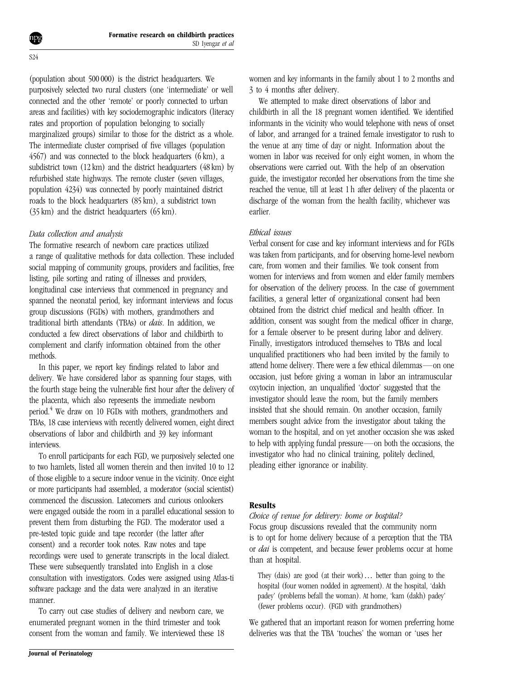(population about 500 000) is the district headquarters. We purposively selected two rural clusters (one 'intermediate' or well connected and the other 'remote' or poorly connected to urban areas and facilities) with key sociodemographic indicators (literacy rates and proportion of population belonging to socially marginalized groups) similar to those for the district as a whole. The intermediate cluster comprised of five villages (population 4567) and was connected to the block headquarters (6 km), a subdistrict town (12 km) and the district headquarters (48 km) by refurbished state highways. The remote cluster (seven villages, population 4234) was connected by poorly maintained district roads to the block headquarters (85 km), a subdistrict town (35 km) and the district headquarters (65 km).

#### Data collection and analysis

The formative research of newborn care practices utilized a range of qualitative methods for data collection. These included social mapping of community groups, providers and facilities, free listing, pile sorting and rating of illnesses and providers, longitudinal case interviews that commenced in pregnancy and spanned the neonatal period, key informant interviews and focus group discussions (FGDs) with mothers, grandmothers and traditional birth attendants (TBAs) or dais. In addition, we conducted a few direct observations of labor and childbirth to complement and clarify information obtained from the other methods.

In this paper, we report key findings related to labor and delivery. We have considered labor as spanning four stages, with the fourth stage being the vulnerable first hour after the delivery of the placenta, which also represents the immediate newborn period[.4](#page-7-0) We draw on 10 FGDs with mothers, grandmothers and TBAs, 18 case interviews with recently delivered women, eight direct observations of labor and childbirth and 39 key informant interviews.

To enroll participants for each FGD, we purposively selected one to two hamlets, listed all women therein and then invited 10 to 12 of those eligible to a secure indoor venue in the vicinity. Once eight or more participants had assembled, a moderator (social scientist) commenced the discussion. Latecomers and curious onlookers were engaged outside the room in a parallel educational session to prevent them from disturbing the FGD. The moderator used a pre-tested topic guide and tape recorder (the latter after consent) and a recorder took notes. Raw notes and tape recordings were used to generate transcripts in the local dialect. These were subsequently translated into English in a close consultation with investigators. Codes were assigned using Atlas-ti software package and the data were analyzed in an iterative manner.

To carry out case studies of delivery and newborn care, we enumerated pregnant women in the third trimester and took consent from the woman and family. We interviewed these 18

We attempted to make direct observations of labor and childbirth in all the 18 pregnant women identified. We identified informants in the vicinity who would telephone with news of onset of labor, and arranged for a trained female investigator to rush to the venue at any time of day or night. Information about the women in labor was received for only eight women, in whom the observations were carried out. With the help of an observation guide, the investigator recorded her observations from the time she reached the venue, till at least 1 h after delivery of the placenta or discharge of the woman from the health facility, whichever was earlier.

## Ethical issues

Verbal consent for case and key informant interviews and for FGDs was taken from participants, and for observing home-level newborn care, from women and their families. We took consent from women for interviews and from women and elder family members for observation of the delivery process. In the case of government facilities, a general letter of organizational consent had been obtained from the district chief medical and health officer. In addition, consent was sought from the medical officer in charge, for a female observer to be present during labor and delivery. Finally, investigators introduced themselves to TBAs and local unqualified practitioners who had been invited by the family to attend home delivery. There were a few ethical dilemmas—on one occasion, just before giving a woman in labor an intramuscular oxytocin injection, an unqualified 'doctor' suggested that the investigator should leave the room, but the family members insisted that she should remain. On another occasion, family members sought advice from the investigator about taking the woman to the hospital, and on yet another occasion she was asked to help with applying fundal pressure—on both the occasions, the investigator who had no clinical training, politely declined, pleading either ignorance or inability.

#### **Results**

#### Choice of venue for delivery: home or hospital?

Focus group discussions revealed that the community norm is to opt for home delivery because of a perception that the TBA or *dai* is competent, and because fewer problems occur at home than at hospital.

They (dais) are good (at their work) $\ldots$  better than going to the hospital (four women nodded in agreement). At the hospital, 'dakh padey' (problems befall the woman). At home, 'kam (dakh) padey' (fewer problems occur). (FGD with grandmothers)

We gathered that an important reason for women preferring home deliveries was that the TBA 'touches' the woman or 'uses her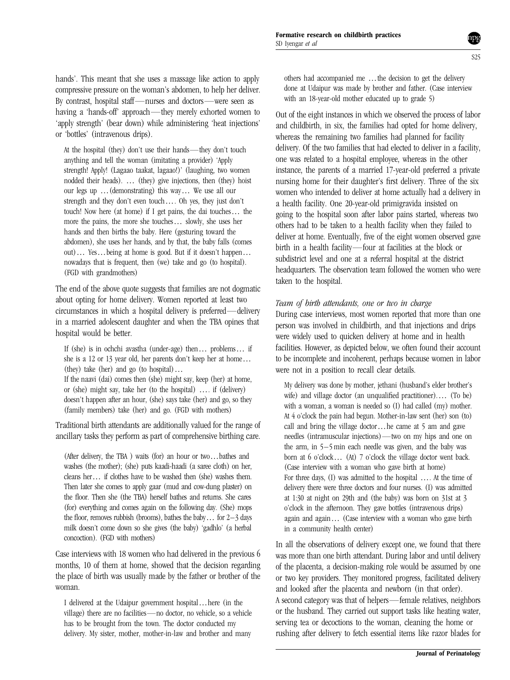hands'. This meant that she uses a massage like action to apply compressive pressure on the woman's abdomen, to help her deliver. By contrast, hospital staff-nurses and doctors-were seen as having a 'hands-off' approach—they merely exhorted women to 'apply strength' (bear down) while administering 'heat injections' or 'bottles' (intravenous drips).

At the hospital (they) don't use their hands—they don't touch anything and tell the woman (imitating a provider) 'Apply strength! Apply! (Lagaao taakat, lagaao!)' (laughing, two women nodded their heads).  $\ldots$  (they) give injections, then (they) hoist our legs up  $\dots$  (demonstrating) this way  $\dots$  We use all our strength and they don't even touch $\dots$ . Oh yes, they just don't touch! Now here (at home) if I get pains, the dai touches $\dots$  the more the pains, the more she touches... slowly, she uses her hands and then births the baby. Here (gesturing toward the abdomen), she uses her hands, and by that, the baby falls (comes out)... Yes...being at home is good. But if it doesn't happen... nowadays that is frequent, then (we) take and go (to hospital). (FGD with grandmothers)

The end of the above quote suggests that families are not dogmatic about opting for home delivery. Women reported at least two circumstances in which a hospital delivery is preferred—delivery in a married adolescent daughter and when the TBA opines that hospital would be better.

If (she) is in ochchi avastha (under-age) then  $\ldots$  problems $\ldots$  if she is a 12 or 13 year old, her parents don't keep her at home... (they) take (her) and go (to hospital) $\ldots$ 

If the naavi (dai) comes then (she) might say, keep (her) at home, or (she) might say, take her (to the hospital)  $\ldots$  if (delivery) doesn't happen after an hour, (she) says take (her) and go, so they (family members) take (her) and go. (FGD with mothers)

Traditional birth attendants are additionally valued for the range of ancillary tasks they perform as part of comprehensive birthing care.

(After delivery, the TBA) waits (for) an hour or two $\dots$  bathes and washes (the mother); (she) puts kaadi-haadi (a saree cloth) on her, cleans her... if clothes have to be washed then (she) washes them. Then later she comes to apply gaar (mud and cow-dung plaster) on the floor. Then she (the TBA) herself bathes and returns. She cares (for) everything and comes again on the following day. (She) mops the floor, removes rubbish (brooms), bathes the baby $\dots$  for  $2-3$  days milk doesn't come down so she gives (the baby) 'gadhlo' (a herbal concoction). (FGD with mothers)

Case interviews with 18 women who had delivered in the previous 6 months, 10 of them at home, showed that the decision regarding the place of birth was usually made by the father or brother of the woman.

I delivered at the Udaipur government hospital... here (in the village) there are no facilities—no doctor, no vehicle, so a vehicle has to be brought from the town. The doctor conducted my delivery. My sister, mother, mother-in-law and brother and many

others had accompanied me ...the decision to get the delivery done at Udaipur was made by brother and father. (Case interview with an 18-year-old mother educated up to grade 5)

Out of the eight instances in which we observed the process of labor and childbirth, in six, the families had opted for home delivery, whereas the remaining two families had planned for facility delivery. Of the two families that had elected to deliver in a facility, one was related to a hospital employee, whereas in the other instance, the parents of a married 17-year-old preferred a private nursing home for their daughter's first delivery. Three of the six women who intended to deliver at home actually had a delivery in a health facility. One 20-year-old primigravida insisted on going to the hospital soon after labor pains started, whereas two others had to be taken to a health facility when they failed to deliver at home. Eventually, five of the eight women observed gave birth in a health facility—four at facilities at the block or subdistrict level and one at a referral hospital at the district headquarters. The observation team followed the women who were taken to the hospital.

#### Team of birth attendants, one or two in charge

During case interviews, most women reported that more than one person was involved in childbirth, and that injections and drips were widely used to quicken delivery at home and in health facilities. However, as depicted below, we often found their account to be incomplete and incoherent, perhaps because women in labor were not in a position to recall clear details.

My delivery was done by mother, jethani (husband's elder brother's wife) and village doctor (an unqualified practitioner).... (To be) with a woman, a woman is needed so (I) had called (my) mother. At 4 o'clock the pain had begun. Mother-in-law sent (her) son (to) call and bring the village doctor, the came at 5 am and gave needles (intramuscular injections)—two on my hips and one on the arm, in 5–5 min each needle was given, and the baby was born at 6 o'clock... (At) 7 o'clock the village doctor went back. (Case interview with a woman who gave birth at home) For three days,  $(I)$  was admitted to the hospital  $\ldots$ . At the time of delivery there were three doctors and four nurses. (I) was admitted at 1:30 at night on 29th and (the baby) was born on 31st at 3 o'clock in the afternoon. They gave bottles (intravenous drips) again and  $again \ldots$  (Case interview with a woman who gave birth in a community health center)

In all the observations of delivery except one, we found that there was more than one birth attendant. During labor and until delivery of the placenta, a decision-making role would be assumed by one or two key providers. They monitored progress, facilitated delivery and looked after the placenta and newborn (in that order). A second category was that of helpers—female relatives, neighbors or the husband. They carried out support tasks like heating water, serving tea or decoctions to the woman, cleaning the home or rushing after delivery to fetch essential items like razor blades for

 $S25$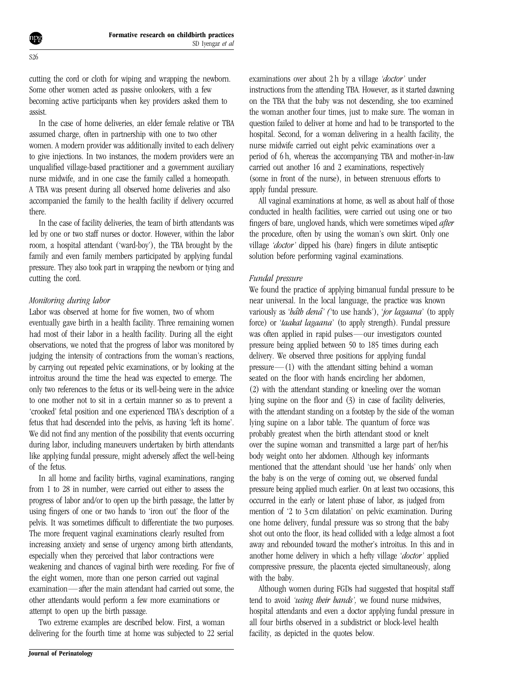cutting the cord or cloth for wiping and wrapping the newborn. Some other women acted as passive onlookers, with a few becoming active participants when key providers asked them to assist.

In the case of home deliveries, an elder female relative or TBA assumed charge, often in partnership with one to two other women. A modern provider was additionally invited to each delivery to give injections. In two instances, the modern providers were an unqualified village-based practitioner and a government auxiliary nurse midwife, and in one case the family called a homeopath. A TBA was present during all observed home deliveries and also accompanied the family to the health facility if delivery occurred there.

In the case of facility deliveries, the team of birth attendants was led by one or two staff nurses or doctor. However, within the labor room, a hospital attendant ('ward-boy'), the TBA brought by the family and even family members participated by applying fundal pressure. They also took part in wrapping the newborn or tying and cutting the cord.

#### Monitoring during labor

Labor was observed at home for five women, two of whom eventually gave birth in a health facility. Three remaining women had most of their labor in a health facility. During all the eight observations, we noted that the progress of labor was monitored by judging the intensity of contractions from the woman's reactions, by carrying out repeated pelvic examinations, or by looking at the introitus around the time the head was expected to emerge. The only two references to the fetus or its well-being were in the advice to one mother not to sit in a certain manner so as to prevent a 'crooked' fetal position and one experienced TBA's description of a fetus that had descended into the pelvis, as having 'left its home'. We did not find any mention of the possibility that events occurring during labor, including maneuvers undertaken by birth attendants like applying fundal pressure, might adversely affect the well-being of the fetus.

In all home and facility births, vaginal examinations, ranging from 1 to 28 in number, were carried out either to assess the progress of labor and/or to open up the birth passage, the latter by using fingers of one or two hands to 'iron out' the floor of the pelvis. It was sometimes difficult to differentiate the two purposes. The more frequent vaginal examinations clearly resulted from increasing anxiety and sense of urgency among birth attendants, especially when they perceived that labor contractions were weakening and chances of vaginal birth were receding. For five of the eight women, more than one person carried out vaginal examination—after the main attendant had carried out some, the other attendants would perform a few more examinations or attempt to open up the birth passage.

Two extreme examples are described below. First, a woman delivering for the fourth time at home was subjected to 22 serial examinations over about 2 h by a village '*doctor*' under instructions from the attending TBA. However, as it started dawning on the TBA that the baby was not descending, she too examined the woman another four times, just to make sure. The woman in question failed to deliver at home and had to be transported to the hospital. Second, for a woman delivering in a health facility, the nurse midwife carried out eight pelvic examinations over a period of 6 h, whereas the accompanying TBA and mother-in-law carried out another 16 and 2 examinations, respectively (some in front of the nurse), in between strenuous efforts to apply fundal pressure.

All vaginal examinations at home, as well as about half of those conducted in health facilities, were carried out using one or two fingers of bare, ungloved hands, which were sometimes wiped after the procedure, often by using the woman's own skirt. Only one village 'doctor' dipped his (bare) fingers in dilute antiseptic solution before performing vaginal examinations.

## Fundal pressure

We found the practice of applying bimanual fundal pressure to be near universal. In the local language, the practice was known variously as 'hâth denâ' ('to use hands'), 'jor lagaana' (to apply force) or 'taakat lagaana' (to apply strength). Fundal pressure was often applied in rapid pulses—our investigators counted pressure being applied between 50 to 185 times during each delivery. We observed three positions for applying fundal pressure $\equiv$ (1) with the attendant sitting behind a woman seated on the floor with hands encircling her abdomen, (2) with the attendant standing or kneeling over the woman lying supine on the floor and (3) in case of facility deliveries, with the attendant standing on a footstep by the side of the woman lying supine on a labor table. The quantum of force was probably greatest when the birth attendant stood or knelt over the supine woman and transmitted a large part of her/his body weight onto her abdomen. Although key informants mentioned that the attendant should 'use her hands' only when the baby is on the verge of coming out, we observed fundal pressure being applied much earlier. On at least two occasions, this occurred in the early or latent phase of labor, as judged from mention of '2 to 3 cm dilatation' on pelvic examination. During one home delivery, fundal pressure was so strong that the baby shot out onto the floor, its head collided with a ledge almost a foot away and rebounded toward the mother's introitus. In this and in another home delivery in which a hefty village 'doctor' applied compressive pressure, the placenta ejected simultaneously, along with the baby.

Although women during FGDs had suggested that hospital staff tend to avoid 'using their hands', we found nurse midwives, hospital attendants and even a doctor applying fundal pressure in all four births observed in a subdistrict or block-level health facility, as depicted in the quotes below.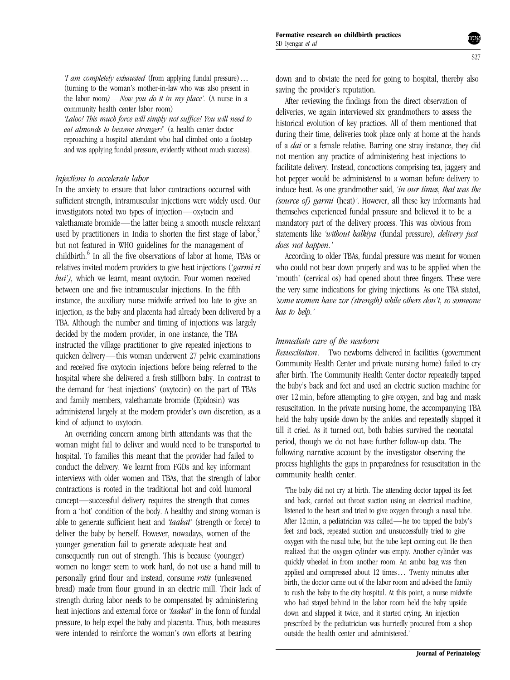'I am completely exhausted (from applying fundal pressure)... (turning to the woman's mother-in-law who was also present in the labor room)—Now you do it in my place'. (A nurse in a community health center labor room)

'Laloo! This much force will simply not suffice! You will need to eat almonds to become stronger!' (a health center doctor reproaching a hospital attendant who had climbed onto a footstep and was applying fundal pressure, evidently without much success).

#### Injections to accelerate labor

In the anxiety to ensure that labor contractions occurred with sufficient strength, intramuscular injections were widely used. Our investigators noted two types of injection-oxytocin and valethamate bromide—the latter being a smooth muscle relaxant used by practitioners in India to shorten the first stage of labor.<sup>[5](#page-7-0)</sup> but not featured in WHO guidelines for the management of childbirth.<sup>[6](#page-7-0)</sup> In all the five observations of labor at home. TBAs or relatives invited modern providers to give heat injections ('garmi ri  $hui'$ ), which we learnt, meant oxytocin. Four women received between one and five intramuscular injections. In the fifth instance, the auxiliary nurse midwife arrived too late to give an injection, as the baby and placenta had already been delivered by a TBA. Although the number and timing of injections was largely decided by the modern provider, in one instance, the TBA instructed the village practitioner to give repeated injections to quicken delivery—this woman underwent 27 pelvic examinations and received five oxytocin injections before being referred to the hospital where she delivered a fresh stillborn baby. In contrast to the demand for 'heat injections' (oxytocin) on the part of TBAs and family members, valethamate bromide (Epidosin) was administered largely at the modern provider's own discretion, as a kind of adjunct to oxytocin.

An overriding concern among birth attendants was that the woman might fail to deliver and would need to be transported to hospital. To families this meant that the provider had failed to conduct the delivery. We learnt from FGDs and key informant interviews with older women and TBAs, that the strength of labor contractions is rooted in the traditional hot and cold humoral concept—successful delivery requires the strength that comes from a 'hot' condition of the body. A healthy and strong woman is able to generate sufficient heat and 'taakat' (strength or force) to deliver the baby by herself. However, nowadays, women of the younger generation fail to generate adequate heat and consequently run out of strength. This is because (younger) women no longer seem to work hard, do not use a hand mill to personally grind flour and instead, consume rotis (unleavened bread) made from flour ground in an electric mill. Their lack of strength during labor needs to be compensated by administering heat injections and external force or 'taakat' in the form of fundal pressure, to help expel the baby and placenta. Thus, both measures were intended to reinforce the woman's own efforts at bearing

down and to obviate the need for going to hospital, thereby also saving the provider's reputation.

After reviewing the findings from the direct observation of deliveries, we again interviewed six grandmothers to assess the historical evolution of key practices. All of them mentioned that during their time, deliveries took place only at home at the hands of a dai or a female relative. Barring one stray instance, they did not mention any practice of administering heat injections to facilitate delivery. Instead, concoctions comprising tea, jaggery and hot pepper would be administered to a woman before delivery to induce heat. As one grandmother said, *'in our times, that was the* (source of) garmi (heat)'. However, all these key informants had themselves experienced fundal pressure and believed it to be a mandatory part of the delivery process. This was obvious from statements like 'without halkiya (fundal pressure), delivery just does not happen.'

According to older TBAs, fundal pressure was meant for women who could not bear down properly and was to be applied when the 'mouth' (cervical os) had opened about three fingers. These were the very same indications for giving injections. As one TBA stated, 'some women have zor (strength) while others don't, so someone has to help.'

#### Immediate care of the newborn

Resuscitation. Two newborns delivered in facilities (government Community Health Center and private nursing home) failed to cry after birth. The Community Health Center doctor repeatedly tapped the baby's back and feet and used an electric suction machine for over 12 min, before attempting to give oxygen, and bag and mask resuscitation. In the private nursing home, the accompanying TBA held the baby upside down by the ankles and repeatedly slapped it till it cried. As it turned out, both babies survived the neonatal period, though we do not have further follow-up data. The following narrative account by the investigator observing the process highlights the gaps in preparedness for resuscitation in the community health center.

'The baby did not cry at birth. The attending doctor tapped its feet and back, carried out throat suction using an electrical machine, listened to the heart and tried to give oxygen through a nasal tube. After 12 min, a pediatrician was called—he too tapped the baby's feet and back, repeated suction and unsuccessfully tried to give oxygen with the nasal tube, but the tube kept coming out. He then realized that the oxygen cylinder was empty. Another cylinder was quickly wheeled in from another room. An ambu bag was then applied and compressed about 12 times... Twenty minutes after birth, the doctor came out of the labor room and advised the family to rush the baby to the city hospital. At this point, a nurse midwife who had stayed behind in the labor room held the baby upside down and slapped it twice, and it started crying. An injection prescribed by the pediatrician was hurriedly procured from a shop outside the health center and administered.'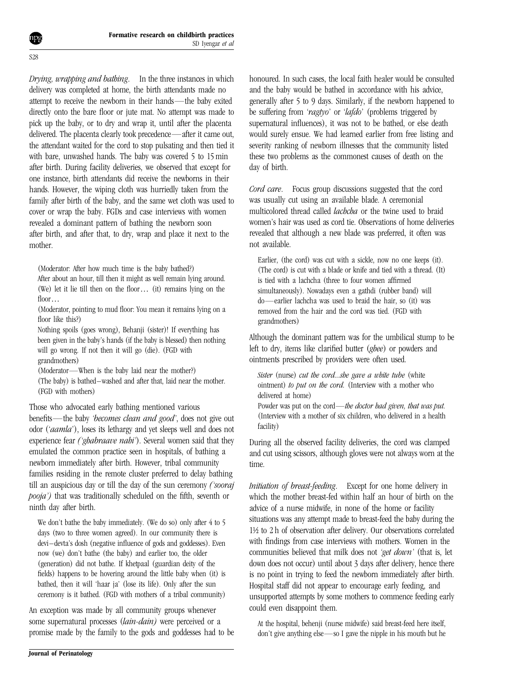Drving, wrapping and bathing. In the three instances in which delivery was completed at home, the birth attendants made no attempt to receive the newborn in their hands—the baby exited directly onto the bare floor or jute mat. No attempt was made to pick up the baby, or to dry and wrap it, until after the placenta delivered. The placenta clearly took precedence—after it came out, the attendant waited for the cord to stop pulsating and then tied it with bare, unwashed hands. The baby was covered 5 to 15 min after birth. During facility deliveries, we observed that except for one instance, birth attendants did receive the newborns in their hands. However, the wiping cloth was hurriedly taken from the family after birth of the baby, and the same wet cloth was used to cover or wrap the baby. FGDs and case interviews with women revealed a dominant pattern of bathing the newborn soon after birth, and after that, to dry, wrap and place it next to the mother.

(Moderator: After how much time is the baby bathed?)

After about an hour, till then it might as well remain lying around. (We) let it lie till then on the floor  $\dots$  (it) remains lying on the  $floor...$ 

(Moderator, pointing to mud floor: You mean it remains lying on a floor like this?)

Nothing spoils (goes wrong), Behanji (sister)! If everything has been given in the baby's hands (if the baby is blessed) then nothing will go wrong. If not then it will go (die). (FGD with grandmothers)

(Moderator—When is the baby laid near the mother?)

(The baby) is bathed–washed and after that, laid near the mother. (FGD with mothers)

Those who advocated early bathing mentioned various benefits—the baby 'becomes clean and good', does not give out odor ('aamla'), loses its lethargy and yet sleeps well and does not experience fear *('ghabraave nahi'*). Several women said that they emulated the common practice seen in hospitals, of bathing a newborn immediately after birth. However, tribal community families residing in the remote cluster preferred to delay bathing till an auspicious day or till the day of the sun ceremony ('sooraj pooja') that was traditionally scheduled on the fifth, seventh or ninth day after birth.

We don't bathe the baby immediately. (We do so) only after 4 to 5 days (two to three women agreed). In our community there is devi–devta's dosh (negative influence of gods and goddesses). Even now (we) don't bathe (the baby) and earlier too, the older (generation) did not bathe. If khetpaal (guardian deity of the fields) happens to be hovering around the little baby when (it) is bathed, then it will 'haar ja' (lose its life). Only after the sun ceremony is it bathed. (FGD with mothers of a tribal community)

An exception was made by all community groups whenever some supernatural processes (*lain-dain*) were perceived or a promise made by the family to the gods and goddesses had to be honoured. In such cases, the local faith healer would be consulted and the baby would be bathed in accordance with his advice, generally after 5 to 9 days. Similarly, if the newborn happened to be suffering from 'ragtyo' or 'lafdo' (problems triggered by supernatural influences), it was not to be bathed, or else death would surely ensue. We had learned earlier from free listing and severity ranking of newborn illnesses that the community listed these two problems as the commonest causes of death on the day of birth.

Cord care. Focus group discussions suggested that the cord was usually cut using an available blade. A ceremonial multicolored thread called lachcha or the twine used to braid women's hair was used as cord tie. Observations of home deliveries revealed that although a new blade was preferred, it often was not available.

Earlier, (the cord) was cut with a sickle, now no one keeps (it). (The cord) is cut with a blade or knife and tied with a thread. (It) is tied with a lachcha (three to four women affirmed simultaneously). Nowadays even a gathdi (rubber band) will do—earlier lachcha was used to braid the hair, so (it) was removed from the hair and the cord was tied. (FGD with grandmothers)

Although the dominant pattern was for the umbilical stump to be left to dry, items like clarified butter (ghee) or powders and ointments prescribed by providers were often used.

Sister (nurse) cut the cord...she gave a white tube (white ointment) to put on the cord. (Interview with a mother who delivered at home)

Powder was put on the cord—the doctor had given, that was put. (Interview with a mother of six children, who delivered in a health facility)

During all the observed facility deliveries, the cord was clamped and cut using scissors, although gloves were not always worn at the time.

Initiation of breast-feeding. Except for one home delivery in which the mother breast-fed within half an hour of birth on the advice of a nurse midwife, in none of the home or facility situations was any attempt made to breast-feed the baby during the 1½ to 2 h of observation after delivery. Our observations correlated with findings from case interviews with mothers. Women in the communities believed that milk does not 'get down' (that is, let down does not occur) until about 3 days after delivery, hence there is no point in trying to feed the newborn immediately after birth. Hospital staff did not appear to encourage early feeding, and unsupported attempts by some mothers to commence feeding early could even disappoint them.

At the hospital, behenji (nurse midwife) said breast-feed here itself, don't give anything else $\equiv$ so I gave the nipple in his mouth but he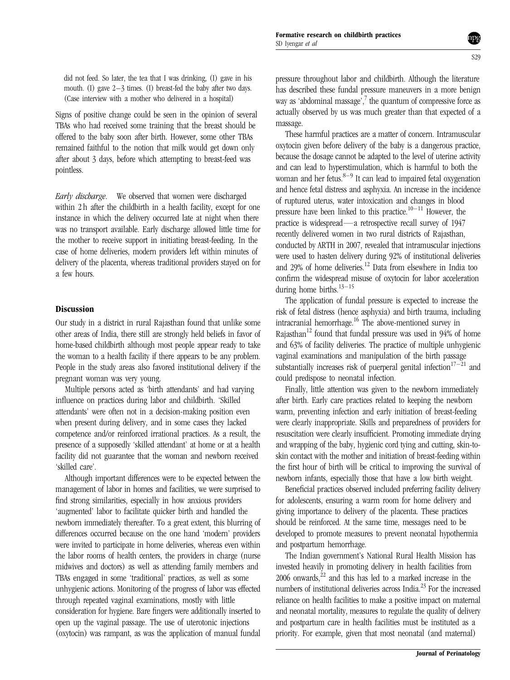did not feed. So later, the tea that I was drinking, (I) gave in his mouth. (I) gave 2–3 times. (I) breast-fed the baby after two days. (Case interview with a mother who delivered in a hospital)

Signs of positive change could be seen in the opinion of several TBAs who had received some training that the breast should be offered to the baby soon after birth. However, some other TBAs remained faithful to the notion that milk would get down only after about 3 days, before which attempting to breast-feed was pointless.

Early discharge. We observed that women were discharged within 2 h after the childbirth in a health facility, except for one instance in which the delivery occurred late at night when there was no transport available. Early discharge allowed little time for the mother to receive support in initiating breast-feeding. In the case of home deliveries, modern providers left within minutes of delivery of the placenta, whereas traditional providers stayed on for a few hours.

#### Discussion

Our study in a district in rural Rajasthan found that unlike some other areas of India, there still are strongly held beliefs in favor of home-based childbirth although most people appear ready to take the woman to a health facility if there appears to be any problem. People in the study areas also favored institutional delivery if the pregnant woman was very young.

Multiple persons acted as 'birth attendants' and had varying influence on practices during labor and childbirth. 'Skilled attendants' were often not in a decision-making position even when present during delivery, and in some cases they lacked competence and/or reinforced irrational practices. As a result, the presence of a supposedly 'skilled attendant' at home or at a health facility did not guarantee that the woman and newborn received 'skilled care'.

Although important differences were to be expected between the management of labor in homes and facilities, we were surprised to find strong similarities, especially in how anxious providers 'augmented' labor to facilitate quicker birth and handled the newborn immediately thereafter. To a great extent, this blurring of differences occurred because on the one hand 'modern' providers were invited to participate in home deliveries, whereas even within the labor rooms of health centers, the providers in charge (nurse midwives and doctors) as well as attending family members and TBAs engaged in some 'traditional' practices, as well as some unhygienic actions. Monitoring of the progress of labor was effected through repeated vaginal examinations, mostly with little consideration for hygiene. Bare fingers were additionally inserted to open up the vaginal passage. The use of uterotonic injections (oxytocin) was rampant, as was the application of manual fundal

pressure throughout labor and childbirth. Although the literature has described these fundal pressure maneuvers in a more benign way as 'abdominal massage', $^7$  the quantum of compressive force as actually observed by us was much greater than that expected of a massage.

These harmful practices are a matter of concern. Intramuscular oxytocin given before delivery of the baby is a dangerous practice, because the dosage cannot be adapted to the level of uterine activity and can lead to hyperstimulation, which is harmful to both the woman and her fetus. $8-9$  It can lead to impaired fetal oxygenation and hence fetal distress and asphyxia. An increase in the incidence of ruptured uterus, water intoxication and changes in blood pressure have been linked to this practice.<sup>[10–11](#page-7-0)</sup> However, the practice is widespread—a retrospective recall survey of  $1947$ recently delivered women in two rural districts of Rajasthan, conducted by ARTH in 2007, revealed that intramuscular injections were used to hasten delivery during 92% of institutional deliveries and 29% of home deliveries[.12](#page-7-0) Data from elsewhere in India too confirm the widespread misuse of oxytocin for labor acceleration during home births. $13-15$ 

The application of fundal pressure is expected to increase the risk of fetal distress (hence asphyxia) and birth trauma, including intracranial hemorrhage.[16](#page-7-0) The above-mentioned survey in Rajasthan<sup>[12](#page-7-0)</sup> found that fundal pressure was used in  $94\%$  of home and 63% of facility deliveries. The practice of multiple unhygienic vaginal examinations and manipulation of the birth passage substantially increases risk of puerperal genital infection<sup>[17–21](#page-7-0)</sup> and could predispose to neonatal infection.

Finally, little attention was given to the newborn immediately after birth. Early care practices related to keeping the newborn warm, preventing infection and early initiation of breast-feeding were clearly inappropriate. Skills and preparedness of providers for resuscitation were clearly insufficient. Promoting immediate drying and wrapping of the baby, hygienic cord tying and cutting, skin-toskin contact with the mother and initiation of breast-feeding within the first hour of birth will be critical to improving the survival of newborn infants, especially those that have a low birth weight.

Beneficial practices observed included preferring facility delivery for adolescents, ensuring a warm room for home delivery and giving importance to delivery of the placenta. These practices should be reinforced. At the same time, messages need to be developed to promote measures to prevent neonatal hypothermia and postpartum hemorrhage.

The Indian government's National Rural Health Mission has invested heavily in promoting delivery in health facilities from  $2006$  onwards,  $22$  and this has led to a marked increase in the numbers of institutional deliveries across India.<sup>[23](#page-7-0)</sup> For the increased reliance on health facilities to make a positive impact on maternal and neonatal mortality, measures to regulate the quality of delivery and postpartum care in health facilities must be instituted as a priority. For example, given that most neonatal (and maternal)